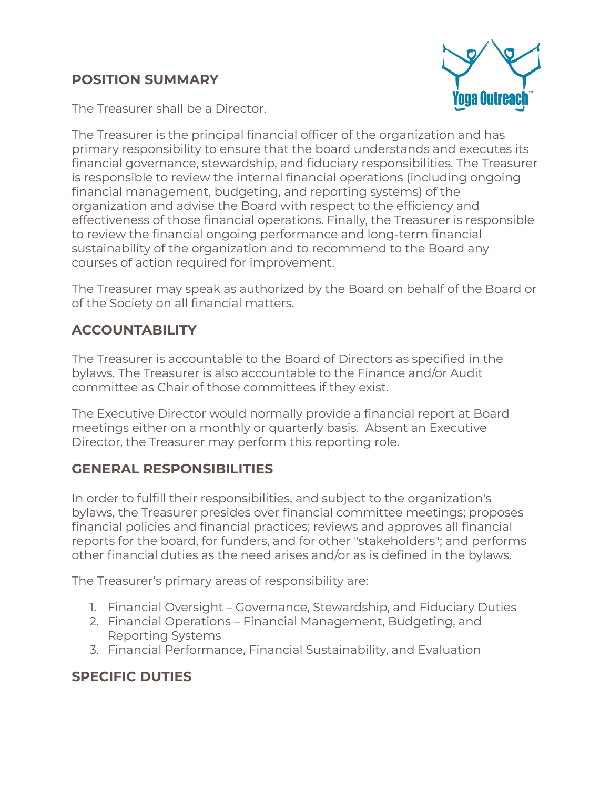### **POSITION SUMMARY**



The Treasurer shall be a Director.

The Treasurer is the principal financial officer of the organization and has primary responsibility to ensure that the board understands and executes its financial governance, stewardship, and fiduciary responsibilities. The Treasurer is responsible to review the internal financial operations (including ongoing financial management, budgeting, and reporting systems) of the organization and advise the Board with respect to the efficiency and effectiveness of those financial operations. Finally, the Treasurer is responsible to review the financial ongoing performance and long-term financial sustainability of the organization and to recommend to the Board any courses of action required for improvement.

The Treasurer may speak as authorized by the Board on behalf of the Board or of the Society on all financial matters.

## **ACCOUNTABILITY**

The Treasurer is accountable to the Board of Directors as specified in the bylaws. The Treasurer is also accountable to the Finance and/or Audit committee as Chair of those committees if they exist.

The Executive Director would normally provide a financial report at Board meetings either on a monthly or quarterly basis. Absent an Executive Director, the Treasurer may perform this reporting role.

### **GENERAL RESPONSIBILITIES**

In order to fulfill their responsibilities, and subject to the organization's bylaws, the Treasurer presides over financial committee meetings; proposes financial policies and financial practices; reviews and approves all financial reports for the board, for funders, and for other "stakeholders"; and performs other financial duties as the need arises and/or as is defined in the bylaws.

The Treasurer's primary areas of responsibility are:

- 1. Financial Oversight Governance, Stewardship, and Fiduciary Duties
- 2. Financial Operations Financial Management, Budgeting, and Reporting Systems
- 3. Financial Performance, Financial Sustainability, and Evaluation

## **SPECIFIC DUTIES**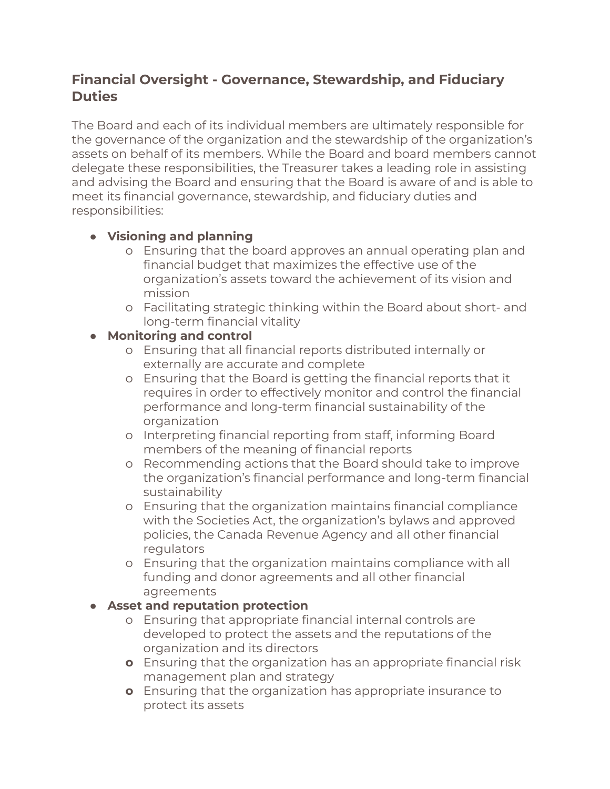### **Financial Oversight - Governance, Stewardship, and Fiduciary Duties**

The Board and each of its individual members are ultimately responsible for the governance of the organization and the stewardship of the organization's assets on behalf of its members. While the Board and board members cannot delegate these responsibilities, the Treasurer takes a leading role in assisting and advising the Board and ensuring that the Board is aware of and is able to meet its financial governance, stewardship, and fiduciary duties and responsibilities:

#### **● Visioning and planning**

- o Ensuring that the board approves an annual operating plan and financial budget that maximizes the effective use of the organization's assets toward the achievement of its vision and mission
- o Facilitating strategic thinking within the Board about short- and long-term financial vitality
- **● Monitoring and control**
	- o Ensuring that all financial reports distributed internally or externally are accurate and complete
	- o Ensuring that the Board is getting the financial reports that it requires in order to effectively monitor and control the financial performance and long-term financial sustainability of the organization
	- o Interpreting financial reporting from staff, informing Board members of the meaning of financial reports
	- o Recommending actions that the Board should take to improve the organization's financial performance and long-term financial sustainability
	- o Ensuring that the organization maintains financial compliance with the Societies Act, the organization's bylaws and approved policies, the Canada Revenue Agency and all other financial **regulators**
	- o Ensuring that the organization maintains compliance with all funding and donor agreements and all other financial agreements

#### **● Asset and reputation protection**

- o Ensuring that appropriate financial internal controls are developed to protect the assets and the reputations of the organization and its directors
- **o** Ensuring that the organization has an appropriate financial risk management plan and strategy
- **o** Ensuring that the organization has appropriate insurance to protect its assets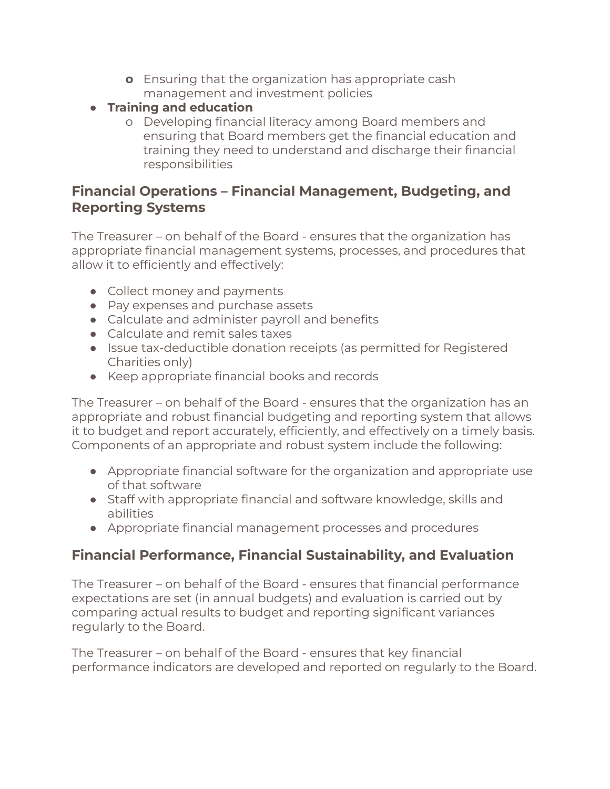- **o** Ensuring that the organization has appropriate cash management and investment policies
- **● Training and education**
	- o Developing financial literacy among Board members and ensuring that Board members get the financial education and training they need to understand and discharge their financial responsibilities

### **Financial Operations – Financial Management, Budgeting, and Reporting Systems**

The Treasurer – on behalf of the Board - ensures that the organization has appropriate financial management systems, processes, and procedures that allow it to efficiently and effectively:

- Collect money and payments
- Pay expenses and purchase assets
- Calculate and administer payroll and benefits
- Calculate and remit sales taxes
- Issue tax-deductible donation receipts (as permitted for Registered Charities only)
- Keep appropriate financial books and records

The Treasurer – on behalf of the Board - ensures that the organization has an appropriate and robust financial budgeting and reporting system that allows it to budget and report accurately, efficiently, and effectively on a timely basis. Components of an appropriate and robust system include the following:

- Appropriate financial software for the organization and appropriate use of that software
- Staff with appropriate financial and software knowledge, skills and abilities
- Appropriate financial management processes and procedures

## **Financial Performance, Financial Sustainability, and Evaluation**

The Treasurer – on behalf of the Board - ensures that financial performance expectations are set (in annual budgets) and evaluation is carried out by comparing actual results to budget and reporting significant variances regularly to the Board.

The Treasurer – on behalf of the Board - ensures that key financial performance indicators are developed and reported on regularly to the Board.